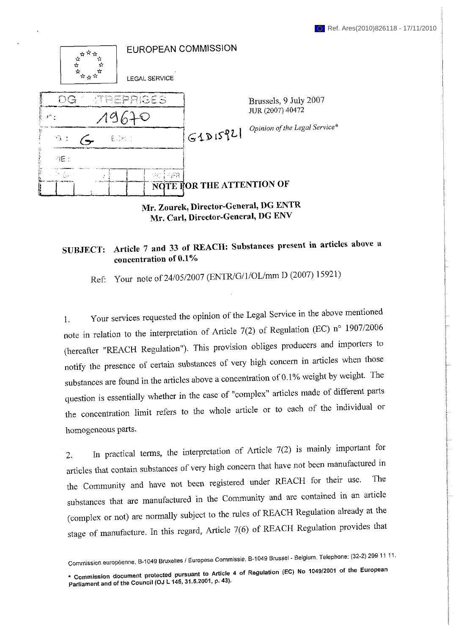

**Mr. Zourek, Director-General, DG ENTR Mr. Carl, Director-General, DG ENV**

## **SUBJECT: Article 7 and 33 of REACH: Substances present in articles above a concentration of 0.1%**

Ref: Your note of 24/05/2007 (ENTR/G/1/OL/mm D (2007) 15921)

1. Your services requested the opinion of the Legal Service in the above mentioned note in relation to the interpretation of Article 7(2) of Regulation (EC) n° 1907/2006 (hereafter "REACH Regulation"). This provision obliges producers and importers to notify the presence of certain substances of very high concern in articles when those substances are found in the articles above a concentration of 0.1% weight by weight. The question is essentially whether in the case of "complex" articles made of different parts the concentration limit refers to the whole article or to each of the individual or homogeneous parts.

2. In practical terms, the interpretation of Article 7(2) is mainly important for articles that contain substances of very high concern that have not been manufactured in the Community and have not been registered under REACH for their use. The substances that are manufactured in the Community and are contained in an article (complex or not) are normally subject to the rales of REACH Regulation already at the stage of manufacture. In this regard. Article 7(6) of REACH Regulation provides that

Commission européenne, B-1049 Bruxelles / Europese Commissie, B-1049 Brussel - Belgium. Telephone: (32-2) 299 11 11,

<sup>•</sup> **commission document protected pursuant to Artide 4 of Relation (EC, No Ю49/2001 o, the European Parliament and of the Council (OJ L 145, 31.5.2001, p. 43).**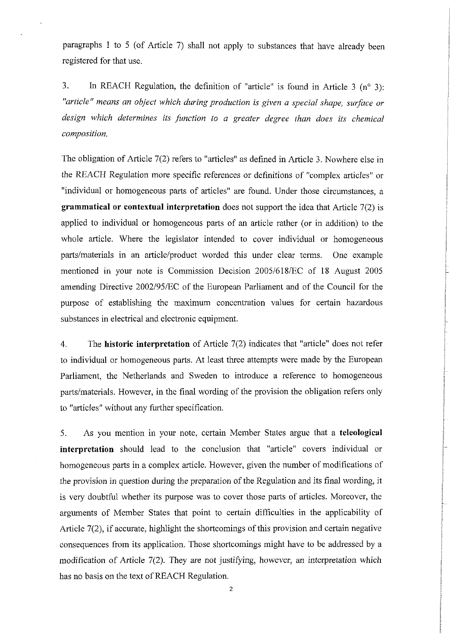paragraphs 1 to 5 (of Article 7) shall not apply to substances that have already been registered for that use.

3. In REACH Regulation, the definition of "article" is found in Article  $3$  (n° 3): *"article" means an object which during production is given a special shape, surface or design which determines its function to a greater degree than does its chemical composition.* 

The obligation of Article 7(2) refers to "articles" as defined in Article 3. Nowhere else in the REACH Regulation more specific references or definitions of "complex articles" or "individual or homogeneous parts of articles" are found. Under those circumstances, a **grammatical or contextual interpretation** does not support the idea that Article 7(2) is applied to individual or homogeneous parts of an article rather (or in addition) to the whole article. Where the legislator intended to cover individual or homogeneous parts/materials in an article/product worded this under clear terms. One example mentioned in your note is Commission Decision 2005/618/EC of 18 August 2005 amending Directive 2002/95/EC of the European Parliament and of the Council for the purpose of establishing the maximum concentration values for certain hazardous substances in electrical and electronic equipment.

4. The **historic interpretation** of Article 7(2) indicates that "article" does not refer to individual or homogeneous parts. At least three attempts were made by the European Parliament, the Netherlands and Sweden to introduce a reference to homogeneous parts/materials. However, in the final wording of the provision the obligation refers only to "articles" without any further specification.

5. As you mention in your note, certain Member States argue that a **teleologicai interpretation** should lead to the conclusion that "article" covers individual or homogeneous parts in a complex article. However, given the number of modifications of the provision in question during the preparation of the Regulation and its final wording, it is very doubtful whether its purpose was to cover those parts of articles. Moreover, the arguments of Member States that point to certain difficulties in the applicability of Article 7(2), if accurate, highlight the shortcomings of this provision and certain negative consequences from its application. Those shortcomings might have to be addressed by a modification of Article 7(2). They are not justifying, however, an interpretation which has no basis on the text of REACH Regulation.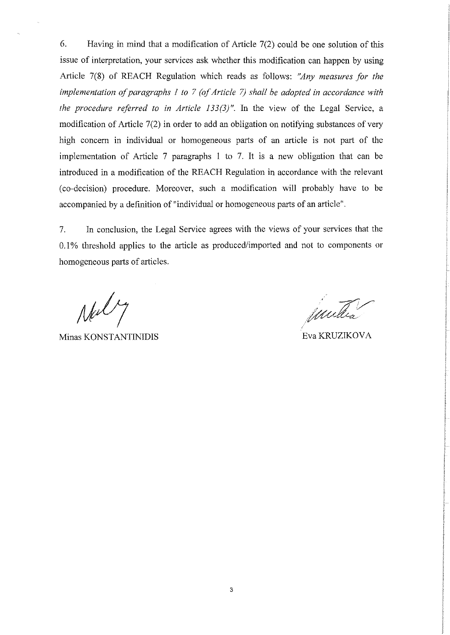6. Having in mind that a modification of Article 7(2) could be one solution of this issue of interpretation, your services ask whether this modification can happen by using Article 7(8) of REACH Regulation which reads as follows: *"Any measures for the implementation of paragraphs J to 7 (of Article 7) shall he adopted in accordance with the procedure referred to in Article 133(3)".* In the view of the Legal Service, a modification of Article 7(2) in order to add an obligation on notifying substances of very high concern in individual or homogeneous parts of an article is not part of the implementation of Article 7 paragraphs 1 to 7. It is a new obligation that can be introduced in a modification of the REACH Regulation in accordance with the relevant (co-decision) procedure. Moreover, such a modification will probably have to be accompanied by a definition of "individual or homogeneous parts of an article".

7. In conclusion, the Legal Service agrees with the views of your services that the 0.1% threshold applies to the article as produced/imported and not to components or homogeneous parts of articles.

Nal

Minas KONSTANTINIDIS Eva KRUZIKOVA